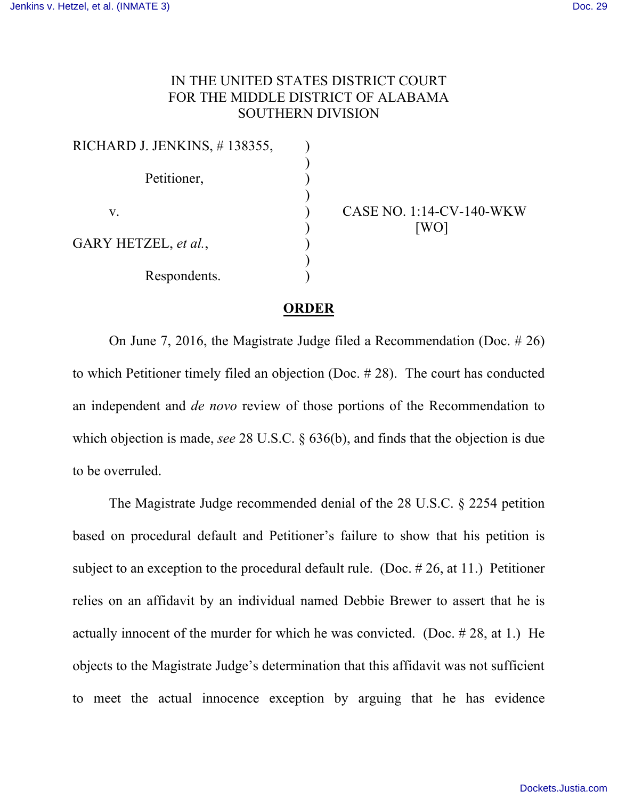## IN THE UNITED STATES DISTRICT COURT FOR THE MIDDLE DISTRICT OF ALABAMA SOUTHERN DIVISION

| RICHARD J. JENKINS, #138355, |  |
|------------------------------|--|
|                              |  |
| Petitioner,                  |  |
|                              |  |
| V.                           |  |
| GARY HETZEL, et al.,         |  |
|                              |  |
| Respondents.                 |  |

CASE NO. 1:14-CV-140-WKW [WO]

## **ORDER**

On June 7, 2016, the Magistrate Judge filed a Recommendation (Doc. # 26) to which Petitioner timely filed an objection (Doc. # 28). The court has conducted an independent and *de novo* review of those portions of the Recommendation to which objection is made, *see* 28 U.S.C. § 636(b), and finds that the objection is due to be overruled.

The Magistrate Judge recommended denial of the 28 U.S.C. § 2254 petition based on procedural default and Petitioner's failure to show that his petition is subject to an exception to the procedural default rule. (Doc. # 26, at 11.) Petitioner relies on an affidavit by an individual named Debbie Brewer to assert that he is actually innocent of the murder for which he was convicted. (Doc. # 28, at 1.) He objects to the Magistrate Judge's determination that this affidavit was not sufficient to meet the actual innocence exception by arguing that he has evidence